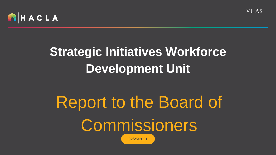

## **Strategic Initiatives Workforce Development Unit**

## Report to the Board of **Commissioners** 02/25/2021

VI. A5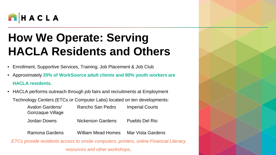

### **How We Operate: Serving HACLA Residents and Others**

- Enrollment, Supportive Services, Training, Job Placement & Job Club
- Approximately **20% of WorkSource adult clients and 80% youth workers are HACLA residents.**
- HACLA performs outreach through job fairs and recruitments at Employment Technology Centers (ETCs or Computer Labs) located on ten developments:

| Avalon Gardens/  | Rancho San Pedro | <b>Imperial Courts</b> |
|------------------|------------------|------------------------|
| Gonzaque Village |                  |                        |

Jordan Downs Nickerson Gardens Pueblo Del Rio

Ramona Gardens William Mead Homes Mar Vista Gardens

*ETCs provide residents access to onsite computers, printers, online Financial Literacy resources and other workshops.*

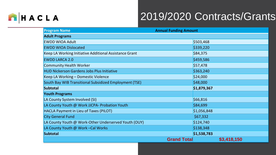#### HACLA

### 2019/2020 Contracts/Grants

| <b>Program Name</b>                                    | <b>Annual Funding Amount</b> |             |  |
|--------------------------------------------------------|------------------------------|-------------|--|
| <b>Adult Programs</b>                                  |                              |             |  |
| <b>EWDD WIOA Adult</b>                                 | \$503,468                    |             |  |
| <b>EWDD WIOA Dislocated</b>                            | \$339,220                    |             |  |
| Keep LA Working Initiative Additional Assistance Grant | \$84,375                     |             |  |
| <b>EWDD LARCA 2.0</b>                                  | \$459,586                    |             |  |
| Community Health Worker                                | \$57,478                     |             |  |
| <b>HUD Nickerson Gardens Jobs Plus Initiative</b>      | \$363,240                    |             |  |
| Keep LA Working - Domestic Violence                    | \$24,000                     |             |  |
| South Bay WIB Transitional Subsidized Employment (TSE) | \$48,000                     |             |  |
| <b>Subtotal</b>                                        | \$1,879,367                  |             |  |
| <b>Youth Programs</b>                                  |                              |             |  |
| LA County System Involved (SI)                         | \$66,816                     |             |  |
| LA County Youth @ Work JJCPA- Probation Youth          | \$84,699                     |             |  |
| HACLA Payment in Lieu of Taxes (PILOT)                 | \$1,056,848                  |             |  |
| <b>City General Fund</b>                               | \$67,332                     |             |  |
| LA County Youth @ Work-Other Underserved Youth (OUY)   | \$124,740                    |             |  |
| LA County Youth @ Work-Cal Works                       | \$138,348                    |             |  |
| <b>Subtotal</b>                                        | \$1,538,783                  |             |  |
|                                                        | <b>Grand Total</b>           | \$3,418,150 |  |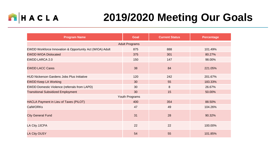

### **2019/2020 Meeting Our Goals**

| <b>Program Name</b>                                      | Goal | <b>Current Status</b> | <b>Percentage</b> |  |  |
|----------------------------------------------------------|------|-----------------------|-------------------|--|--|
| <b>Adult Programs</b>                                    |      |                       |                   |  |  |
| EWDD Workforce Innovation & Opportunity Act (WIOA) Adult | 875  | 888                   | 101.49%           |  |  |
| <b>EWDD WIOA Dislocated</b>                              | 375  | 301                   | 80.27%            |  |  |
| EWDD LARCA 2.0                                           | 150  | 147                   | 98.00%            |  |  |
| <b>EWDD LACC Cares</b>                                   | 38   | 84                    | 221.05%           |  |  |
| <b>HUD Nickerson Gardens Jobs Plus Initiative</b>        | 120  | 242                   | 201.67%           |  |  |
| <b>EWDD Keep LA Working</b>                              | 30   | 55                    | 183.33%           |  |  |
| EWDD Domestic Violence (referrals from LAPD)             | 30   | 8                     | 26.67%            |  |  |
| <b>Transitional Subsidized Employment</b>                | 30   | 15                    | 50.00%            |  |  |
| Youth Programs                                           |      |                       |                   |  |  |
| HACLA Payment in Lieu of Taxes (PILOT)                   | 400  | 354                   | 88.50%            |  |  |
| <b>CalWORKs</b>                                          | 47   | 49                    | 104.26%           |  |  |
| <b>City General Fund</b>                                 | 31   | 28                    | 90.32%            |  |  |
| LA City JJCPA                                            | 22   | 22                    | 100.00%           |  |  |
| <b>LA City OUSY</b>                                      | 54   | 55                    | 101.85%           |  |  |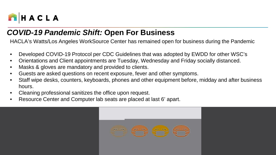

#### *COVID-19 Pandemic Shift:* **Open For Business**

HACLA's Watts/Los Angeles WorkSource Center has remained open for business during the Pandemic

- Developed COVID-19 Protocol per CDC Guidelines that was adopted by EWDD for other WSC's
- Orientations and Client appointments are Tuesday, Wednesday and Friday socially distanced.
- Masks & gloves are mandatory and provided to clients.
- Guests are asked questions on recent exposure, fever and other symptoms.
- Staff wipe desks, counters, keyboards, phones and other equipment before, midday and after business hours.
- Cleaning professional sanitizes the office upon request.
- Resource Center and Computer lab seats are placed at last 6' apart.

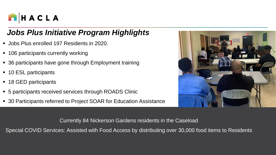

### *Jobs Plus Initiative Program Highlights*

- **Jobs Plus enrolled 197 Residents in 2020.**
- 106 participants currently working
- 36 participants have gone through Employment training
- 10 ESL participants
- 18 GED participants
- 5 participants received services through ROADS Clinic
- 30 Participants referred to Project SOAR for Education Assistance



Currently 84 Nickerson Gardens residents in the Caseload

Special COVID Services: Assisted with Food Access by distributing over 30,000 food items to Residents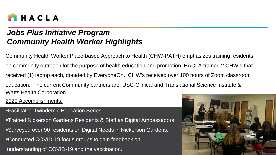

### *Jobs Plus Initiative Program Community Health Worker Highlights*

Community Health Worker Place-based Approach to Health (CHW-PATH) emphasizes training residents on community outreach for the purpose of health education and promotion. HACLA trained 2 CHW's that received (1) laptop each, donated by EveryoneOn. CHW's received over 100 hours of Zoom classroom education. The current Community partners are: USC-Clinical and Translational Science Institute & Watts Health Corporation. 2020 Accomplishments:

- Facilitated Twindemic Education Series.
- Trained Nickerson Gardens Residents & Staff as Digital Ambassadors. Surveyed over 90 residents on Digital Needs in Nickerson Gardens. Conducted COVID-19 focus groups to gain feedback on understanding of COVID-19 and the vaccination.

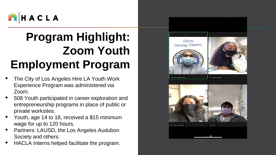

### **Program Highlight: Zoom Youth Employment Program**

- The City of Los Angeles Hire LA Youth Work Experience Program was administered via Zoom.
- 508 Youth participated in career exploration and entrepreneurship programs in place of public or private worksites.
- Youth, age 14 to 18, received a \$15 minimum wage for up to 120 hours.
- Partners: LAUSD, the Los Angeles Audubon Society and others.
- HACLA Interns helped facilitate the program.

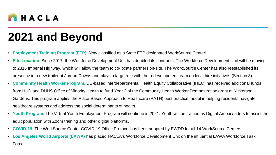

### **2021 and Beyond**

- **Employment Training Program (ETP).** Now classified as a State ETP designated WorkSource Center!
- **Site Location**. Since 2017, the Workforce Development Unit has doubled its contracts. The Workforce Development Unit will be moving to 2316 Imperial Highway, which will allow the team to co-locate partners on-site. The WorkSource Center has also reestablished its presence in a new trailer at Jordan Downs and plays a large role with the redevelopment team on local hire initiatives (Section 3).
- **Community Health Worker Program.** DC-based interdepartmental Health Equity Collaborative (IHEC) has received additional funds from HUD and DHHS Office of Minority Health to fund Year 2 of the Community Health Worker Demonstration grant at Nickerson Gardens. This program applies the Place-Based Approach to Healthcare (PATH) best practice model in helping residents navigate healthcare systems and address the social determinants of health.
- **Youth Program.** The Virtual Youth Employment Program will continue in 2021. Youth will be trained as Digital Ambassadors to assist the adult population with Zoom training and other digital platforms.
- **COVID-19.** The WorkSource Center COVID-19 Office Protocol has been adopted by EWDD for all 14 WorkSource Centers.
- **Los Angeles World Airports (LAWA)** has placed HACLA's Workforce Development Unit on the influential LAWA Workforce Task Force.